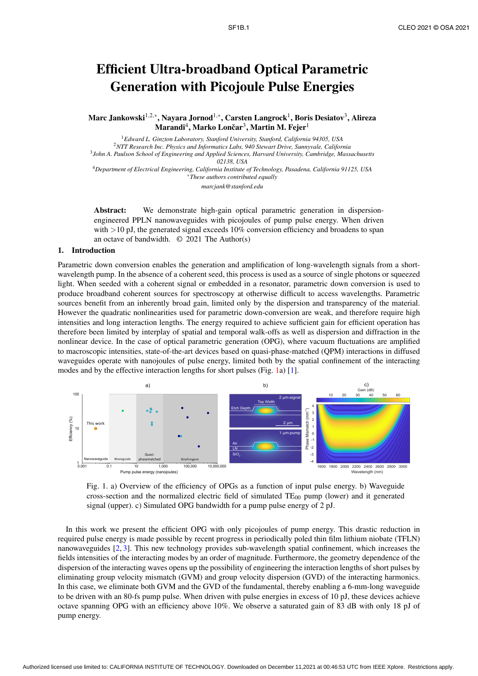# Efficient Ultra-broadband Optical Parametric Generation with Picojoule Pulse Energies

Marc Jankowski $^{1,2,*}$ , Nayara Jornod $^{1,*}$ , Carsten Langrock $^{1}$ , Boris Desiatov $^{3}$ , Alireza Marandi $^4$ , Marko Lončar $^3$ , Martin M. Fejer $^1$ 

<sup>1</sup>*Edward L. Ginzton Laboratory, Stanford University, Stanford, California 94305, USA* <sup>2</sup>*NTT Research Inc. Physics and Informatics Labs, 940 Stewart Drive, Sunnyvale, California* 3 *John A. Paulson School of Engineering and Applied Sciences, Harvard University, Cambridge, Massachusetts 02138, USA* <sup>4</sup>*Department of Electrical Engineering, California Institute of Technology, Pasadena, California 91125, USA* <sup>∗</sup>*These authors contributed equally marcjank@stanford.edu*

Abstract: We demonstrate high-gain optical parametric generation in dispersionengineered PPLN nanowaveguides with picojoules of pump pulse energy. When driven with >10 pJ, the generated signal exceeds 10% conversion efficiency and broadens to span an octave of bandwidth. © 2021 The Author(s)

### 1. Introduction

Parametric down conversion enables the generation and amplification of long-wavelength signals from a shortwavelength pump. In the absence of a coherent seed, this process is used as a source of single photons or squeezed light. When seeded with a coherent signal or embedded in a resonator, parametric down conversion is used to produce broadband coherent sources for spectroscopy at otherwise difficult to access wavelengths. Parametric sources benefit from an inherently broad gain, limited only by the dispersion and transparency of the material. However the quadratic nonlinearities used for parametric down-conversion are weak, and therefore require high intensities and long interaction lengths. The energy required to achieve sufficient gain for efficient operation has therefore been limited by interplay of spatial and temporal walk-offs as well as dispersion and diffraction in the nonlinear device. In the case of optical parametric generation (OPG), where vacuum fluctuations are amplified to macroscopic intensities, state-of-the-art devices based on quasi-phase-matched (QPM) interactions in diffused waveguides operate with nanojoules of pulse energy, limited both by the spatial confinement of the interacting modes and by the effective interaction lengths for short pulses (Fig. 1a) [1].



Fig. 1. a) Overview of the efficiency of OPGs as a function of input pulse energy. b) Waveguide cross-section and the normalized electric field of simulated  $TE_{00}$  pump (lower) and it generated signal (upper). c) Simulated OPG bandwidth for a pump pulse energy of 2 pJ.

In this work we present the efficient OPG with only picojoules of pump energy. This drastic reduction in required pulse energy is made possible by recent progress in periodically poled thin film lithium niobate (TFLN) nanowaveguides [2, 3]. This new technology provides sub-wavelength spatial confinement, which increases the fields intensities of the interacting modes by an order of magnitude. Furthermore, the geometry dependence of the dispersion of the interacting waves opens up the possibility of engineering the interaction lengths of short pulses by eliminating group velocity mismatch (GVM) and group velocity dispersion (GVD) of the interacting harmonics. In this case, we eliminate both GVM and the GVD of the fundamental, thereby enabling a 6-mm-long waveguide to be driven with an 80-fs pump pulse. When driven with pulse energies in excess of 10 pJ, these devices achieve octave spanning OPG with an efficiency above 10%. We observe a saturated gain of 83 dB with only 18 pJ of pump energy.